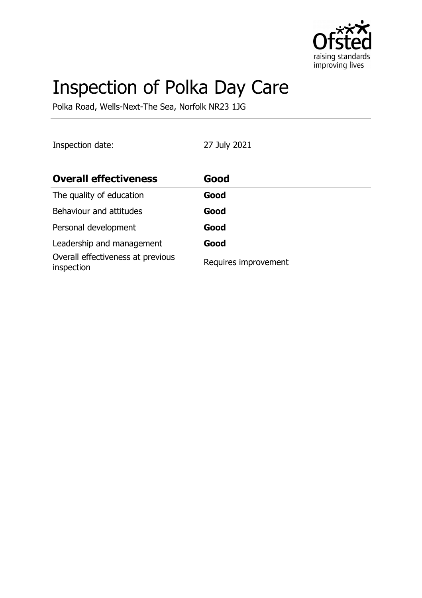

# Inspection of Polka Day Care

Polka Road, Wells-Next-The Sea, Norfolk NR23 1JG

Inspection date: 27 July 2021

| <b>Overall effectiveness</b>                    | Good                 |
|-------------------------------------------------|----------------------|
| The quality of education                        | Good                 |
| Behaviour and attitudes                         | Good                 |
| Personal development                            | Good                 |
| Leadership and management                       | Good                 |
| Overall effectiveness at previous<br>inspection | Requires improvement |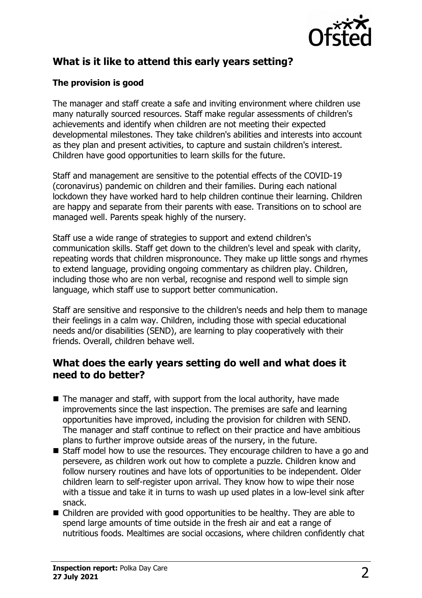

# **What is it like to attend this early years setting?**

### **The provision is good**

The manager and staff create a safe and inviting environment where children use many naturally sourced resources. Staff make regular assessments of children's achievements and identify when children are not meeting their expected developmental milestones. They take children's abilities and interests into account as they plan and present activities, to capture and sustain children's interest. Children have good opportunities to learn skills for the future.

Staff and management are sensitive to the potential effects of the COVID-19 (coronavirus) pandemic on children and their families. During each national lockdown they have worked hard to help children continue their learning. Children are happy and separate from their parents with ease. Transitions on to school are managed well. Parents speak highly of the nursery.

Staff use a wide range of strategies to support and extend children's communication skills. Staff get down to the children's level and speak with clarity, repeating words that children mispronounce. They make up little songs and rhymes to extend language, providing ongoing commentary as children play. Children, including those who are non verbal, recognise and respond well to simple sign language, which staff use to support better communication.

Staff are sensitive and responsive to the children's needs and help them to manage their feelings in a calm way. Children, including those with special educational needs and/or disabilities (SEND), are learning to play cooperatively with their friends. Overall, children behave well.

## **What does the early years setting do well and what does it need to do better?**

- $\blacksquare$  The manager and staff, with support from the local authority, have made improvements since the last inspection. The premises are safe and learning opportunities have improved, including the provision for children with SEND. The manager and staff continue to reflect on their practice and have ambitious plans to further improve outside areas of the nursery, in the future.
- $\blacksquare$  Staff model how to use the resources. They encourage children to have a go and persevere, as children work out how to complete a puzzle. Children know and follow nursery routines and have lots of opportunities to be independent. Older children learn to self-register upon arrival. They know how to wipe their nose with a tissue and take it in turns to wash up used plates in a low-level sink after snack.
- $\blacksquare$  Children are provided with good opportunities to be healthy. They are able to spend large amounts of time outside in the fresh air and eat a range of nutritious foods. Mealtimes are social occasions, where children confidently chat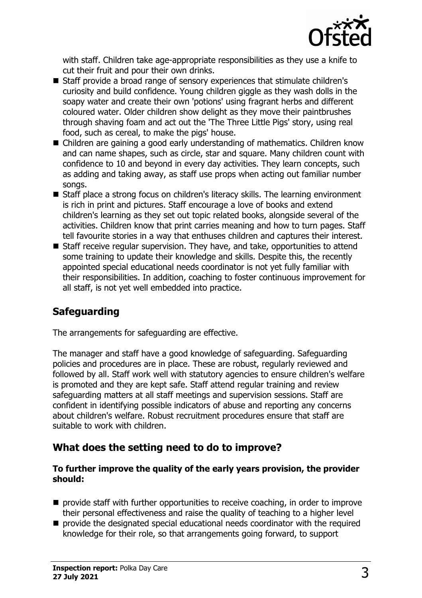

with staff. Children take age-appropriate responsibilities as they use a knife to cut their fruit and pour their own drinks.

- Staff provide a broad range of sensory experiences that stimulate children's curiosity and build confidence. Young children giggle as they wash dolls in the soapy water and create their own 'potions' using fragrant herbs and different coloured water. Older children show delight as they move their paintbrushes through shaving foam and act out the 'The Three Little Pigs' story, using real food, such as cereal, to make the pigs' house.
- Children are gaining a good early understanding of mathematics. Children know and can name shapes, such as circle, star and square. Many children count with confidence to 10 and beyond in every day activities. They learn concepts, such as adding and taking away, as staff use props when acting out familiar number songs.
- Staff place a strong focus on children's literacy skills. The learning environment is rich in print and pictures. Staff encourage a love of books and extend children's learning as they set out topic related books, alongside several of the activities. Children know that print carries meaning and how to turn pages. Staff tell favourite stories in a way that enthuses children and captures their interest.
- $\blacksquare$  Staff receive regular supervision. They have, and take, opportunities to attend some training to update their knowledge and skills. Despite this, the recently appointed special educational needs coordinator is not yet fully familiar with their responsibilities. In addition, coaching to foster continuous improvement for all staff, is not yet well embedded into practice.

# **Safeguarding**

The arrangements for safeguarding are effective.

The manager and staff have a good knowledge of safeguarding. Safeguarding policies and procedures are in place. These are robust, regularly reviewed and followed by all. Staff work well with statutory agencies to ensure children's welfare is promoted and they are kept safe. Staff attend regular training and review safeguarding matters at all staff meetings and supervision sessions. Staff are confident in identifying possible indicators of abuse and reporting any concerns about children's welfare. Robust recruitment procedures ensure that staff are suitable to work with children.

# **What does the setting need to do to improve?**

#### **To further improve the quality of the early years provision, the provider should:**

- $\blacksquare$  provide staff with further opportunities to receive coaching, in order to improve their personal effectiveness and raise the quality of teaching to a higher level
- $\blacksquare$  provide the designated special educational needs coordinator with the required knowledge for their role, so that arrangements going forward, to support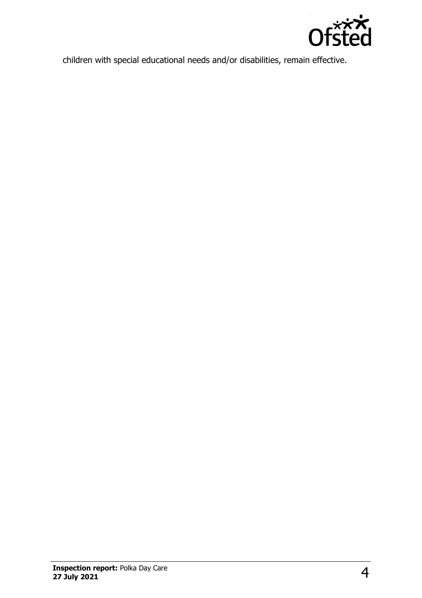

children with special educational needs and/or disabilities, remain effective.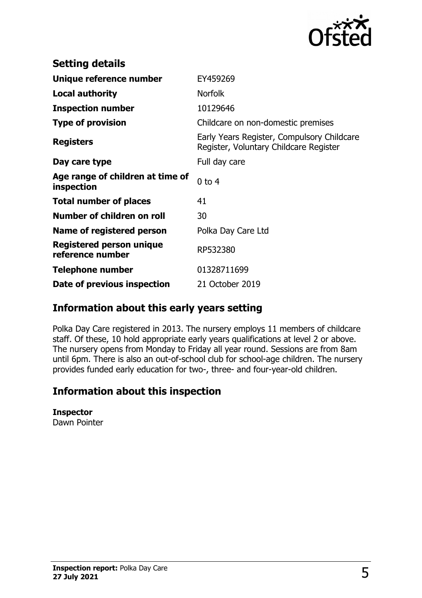

| <b>Setting details</b>                         |                                                                                      |
|------------------------------------------------|--------------------------------------------------------------------------------------|
| Unique reference number                        | EY459269                                                                             |
| <b>Local authority</b>                         | <b>Norfolk</b>                                                                       |
| <b>Inspection number</b>                       | 10129646                                                                             |
| <b>Type of provision</b>                       | Childcare on non-domestic premises                                                   |
| <b>Registers</b>                               | Early Years Register, Compulsory Childcare<br>Register, Voluntary Childcare Register |
| Day care type                                  | Full day care                                                                        |
| Age range of children at time of<br>inspection | $0$ to $4$                                                                           |
| <b>Total number of places</b>                  | 41                                                                                   |
| Number of children on roll                     | 30                                                                                   |
| Name of registered person                      | Polka Day Care Ltd                                                                   |
| Registered person unique<br>reference number   | RP532380                                                                             |
| Telephone number                               | 01328711699                                                                          |
| Date of previous inspection                    | 21 October 2019                                                                      |

## **Information about this early years setting**

Polka Day Care registered in 2013. The nursery employs 11 members of childcare staff. Of these, 10 hold appropriate early years qualifications at level 2 or above. The nursery opens from Monday to Friday all year round. Sessions are from 8am until 6pm. There is also an out-of-school club for school-age children. The nursery provides funded early education for two-, three- and four-year-old children.

# **Information about this inspection**

#### **Inspector**

Dawn Pointer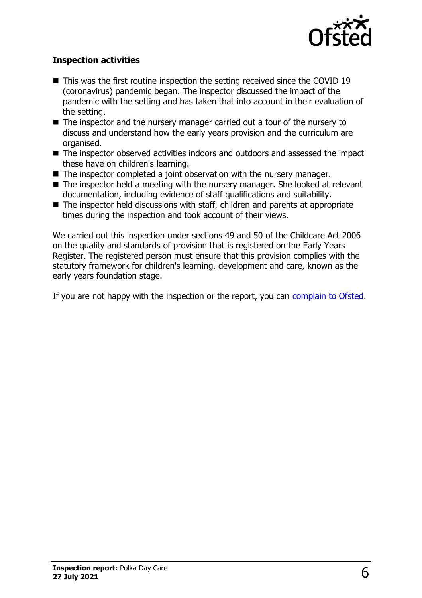

#### **Inspection activities**

- $\blacksquare$  This was the first routine inspection the setting received since the COVID 19 (coronavirus) pandemic began. The inspector discussed the impact of the pandemic with the setting and has taken that into account in their evaluation of the setting.
- $\blacksquare$  The inspector and the nursery manager carried out a tour of the nursery to discuss and understand how the early years provision and the curriculum are organised.
- The inspector observed activities indoors and outdoors and assessed the impact these have on children's learning.
- $\blacksquare$  The inspector completed a joint observation with the nursery manager.
- $\blacksquare$  The inspector held a meeting with the nursery manager. She looked at relevant documentation, including evidence of staff qualifications and suitability.
- $\blacksquare$  The inspector held discussions with staff, children and parents at appropriate times during the inspection and took account of their views.

We carried out this inspection under sections 49 and 50 of the Childcare Act 2006 on the quality and standards of provision that is registered on the Early Years Register. The registered person must ensure that this provision complies with the statutory framework for children's learning, development and care, known as the early years foundation stage.

If you are not happy with the inspection or the report, you can [complain to Ofsted.](http://www.gov.uk/complain-ofsted-report)